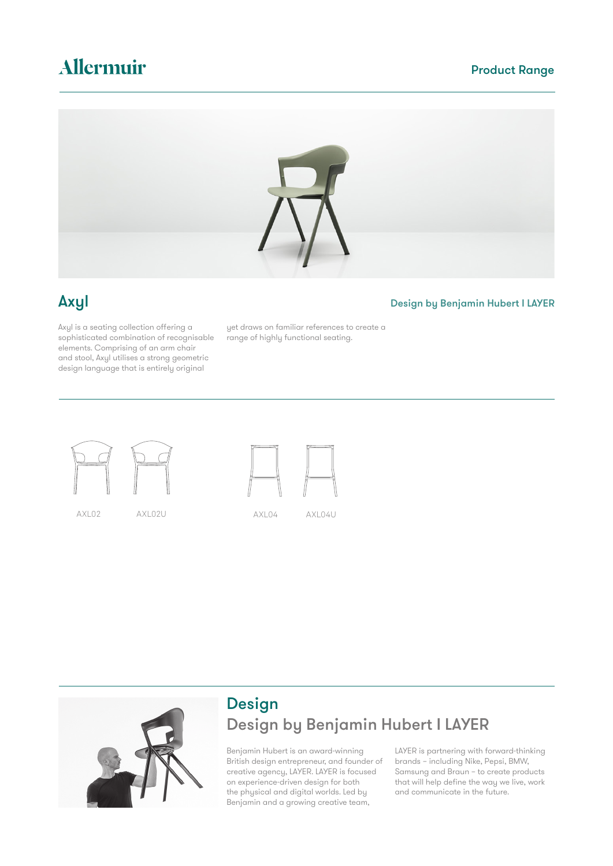## Allermuir

### Product Range



### Axyl Design by Benjamin Hubert I LAYER

Axyl is a seating collection offering a sophisticated combination of recognisable elements. Comprising of an arm chair and stool, Axyl utilises a strong geometric design language that is entirely original

yet draws on familiar references to create a range of highly functional seating.









### Design Design by Benjamin Hubert I LAYER

Benjamin Hubert is an award-winning British design entrepreneur, and founder of creative agency, LAYER. LAYER is focused on experience-driven design for both the physical and digital worlds. Led by Benjamin and a growing creative team,

LAYER is partnering with forward-thinking brands – including Nike, Pepsi, BMW, Samsung and Braun – to create products that will help define the way we live, work and communicate in the future.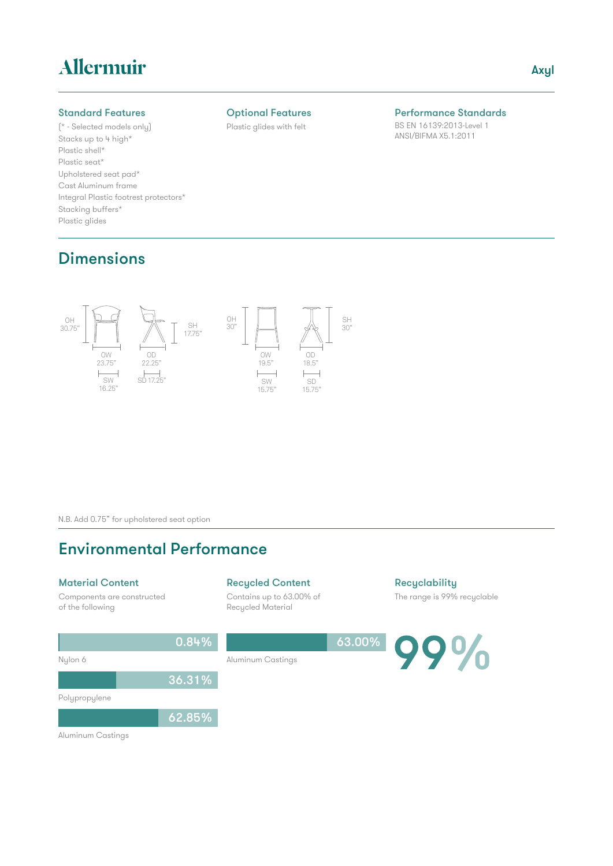## Allermuir

#### Standard Features

(\* - Selected models only) Stacks up to 4 high\* Plastic shell\* Plastic seat\* Upholstered seat pad\* Cast Aluminum frame Integral Plastic footrest protectors\* Stacking buffers\* Plastic glides

#### Optional Features

Plastic glides with felt

### Performance Standards

BS EN 16139:2013-Level 1 ANSI/BIFMA X5.1:2011

### **Dimensions**



N.B. Add 0.75" for upholstered seat option

### Environmental Performance

#### Material Content

Components are constructed of the following

#### Recycled Content

Aluminum Castings

Contains up to 63.00% of Recycled Material

**Recyclability** 

The range is 99% recyclable

63.00%  $0/6$ 



Polypropylene

62.85%

0.84%

36.31%

Aluminum Castings